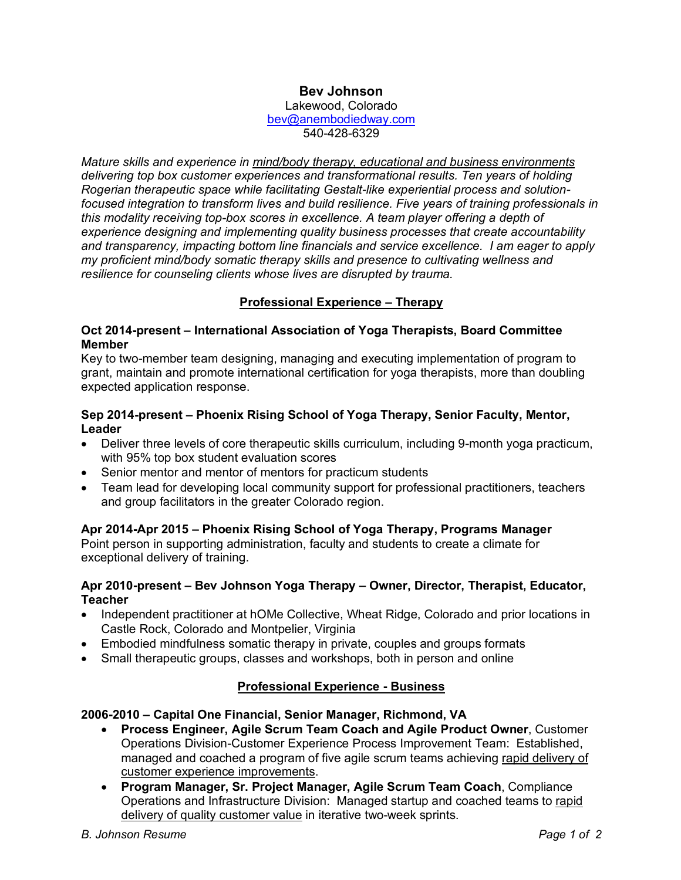# **Bev Johnson**

Lakewood, Colorado bev@anembodiedway.com 540-428-6329

*Mature skills and experience in mind/body therapy, educational and business environments delivering top box customer experiences and transformational results. Ten years of holding Rogerian therapeutic space while facilitating Gestalt-like experiential process and solutionfocused integration to transform lives and build resilience. Five years of training professionals in this modality receiving top-box scores in excellence. A team player offering a depth of experience designing and implementing quality business processes that create accountability and transparency, impacting bottom line financials and service excellence. I am eager to apply my proficient mind/body somatic therapy skills and presence to cultivating wellness and resilience for counseling clients whose lives are disrupted by trauma.*

# **Professional Experience – Therapy**

#### **Oct 2014-present – International Association of Yoga Therapists, Board Committee Member**

Key to two-member team designing, managing and executing implementation of program to grant, maintain and promote international certification for yoga therapists, more than doubling expected application response.

#### **Sep 2014-present – Phoenix Rising School of Yoga Therapy, Senior Faculty, Mentor, Leader**

- Deliver three levels of core therapeutic skills curriculum, including 9-month yoga practicum, with 95% top box student evaluation scores
- Senior mentor and mentor of mentors for practicum students
- Team lead for developing local community support for professional practitioners, teachers and group facilitators in the greater Colorado region.

### **Apr 2014-Apr 2015 – Phoenix Rising School of Yoga Therapy, Programs Manager**

Point person in supporting administration, faculty and students to create a climate for exceptional delivery of training.

#### **Apr 2010-present – Bev Johnson Yoga Therapy – Owner, Director, Therapist, Educator, Teacher**

- Independent practitioner at hOMe Collective, Wheat Ridge, Colorado and prior locations in Castle Rock, Colorado and Montpelier, Virginia
- Embodied mindfulness somatic therapy in private, couples and groups formats
- Small therapeutic groups, classes and workshops, both in person and online

### **Professional Experience - Business**

## **2006-2010 – Capital One Financial, Senior Manager, Richmond, VA**

- **Process Engineer, Agile Scrum Team Coach and Agile Product Owner**, Customer Operations Division-Customer Experience Process Improvement Team: Established, managed and coached a program of five agile scrum teams achieving rapid delivery of customer experience improvements.
- **Program Manager, Sr. Project Manager, Agile Scrum Team Coach**, Compliance Operations and Infrastructure Division: Managed startup and coached teams to rapid delivery of quality customer value in iterative two-week sprints.